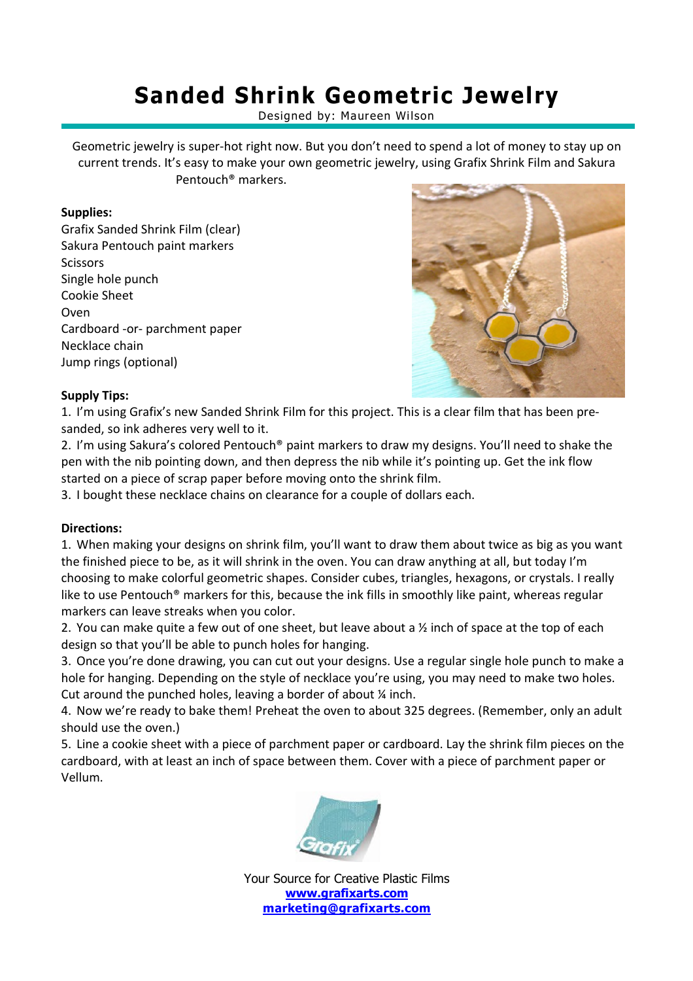# **Sanded Shrink Geometric Jewelry**

Designed by: Maureen Wilson

Geometric jewelry is super-hot right now. But you don't need to spend a lot of money to stay up on current trends. It's easy to make your own geometric jewelry, using Grafix Shrink Film and Sakura Pentouch® markers.

## **Supplies:**

Grafix Sanded Shrink Film (clear) Sakura Pentouch paint markers **Scissors** Single hole punch Cookie Sheet Oven Cardboard -or- parchment paper Necklace chain Jump rings (optional)



## **Supply Tips:**

1. I'm using Grafix's new Sanded Shrink Film for this project. This is a clear film that has been presanded, so ink adheres very well to it.

2. I'm using Sakura's colored Pentouch® paint markers to draw my designs. You'll need to shake the pen with the nib pointing down, and then depress the nib while it's pointing up. Get the ink flow started on a piece of scrap paper before moving onto the shrink film.

3. I bought these necklace chains on clearance for a couple of dollars each.

### **Directions:**

1. When making your designs on shrink film, you'll want to draw them about twice as big as you want the finished piece to be, as it will shrink in the oven. You can draw anything at all, but today I'm choosing to make colorful geometric shapes. Consider cubes, triangles, hexagons, or crystals. I really like to use Pentouch® markers for this, because the ink fills in smoothly like paint, whereas regular markers can leave streaks when you color.

2. You can make quite a few out of one sheet, but leave about a ½ inch of space at the top of each design so that you'll be able to punch holes for hanging.

3. Once you're done drawing, you can cut out your designs. Use a regular single hole punch to make a hole for hanging. Depending on the style of necklace you're using, you may need to make two holes. Cut around the punched holes, leaving a border of about ¼ inch.

4. Now we're ready to bake them! Preheat the oven to about 325 degrees. (Remember, only an adult should use the oven.)

5. Line a cookie sheet with a piece of parchment paper or cardboard. Lay the shrink film pieces on the cardboard, with at least an inch of space between them. Cover with a piece of parchment paper or Vellum.



Your Source for Creative Plastic Films **www.grafixarts.com marketing@grafixarts.com**